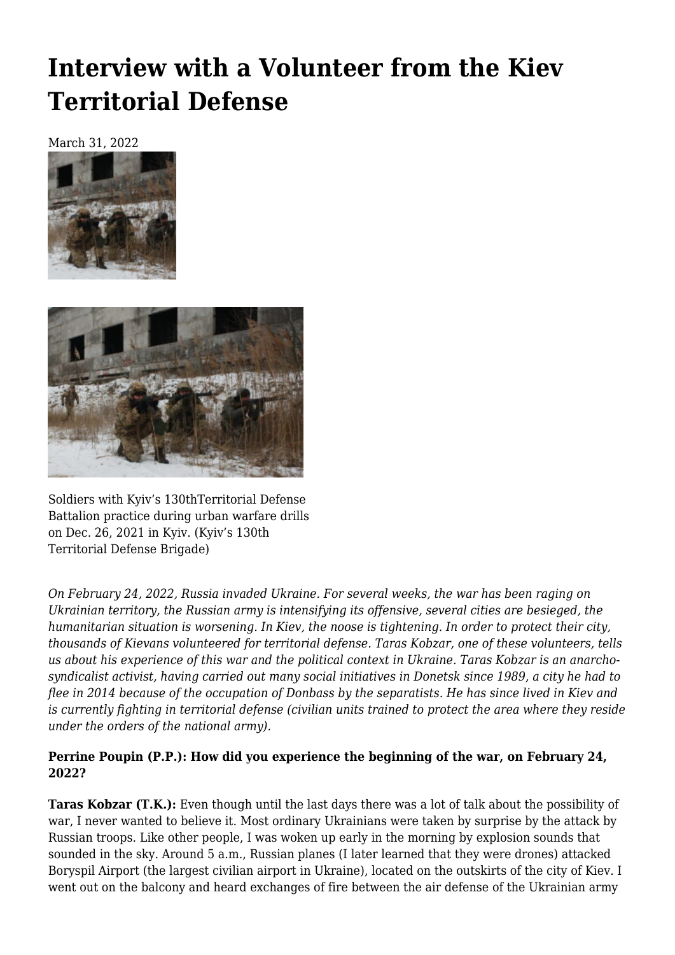# **[Interview with a Volunteer from the Kiev](https://newpol.org/russias-invasion-of-ukraine-interview-with-a-volunteer-from-the-kiev-territorial-defense/) [Territorial Defense](https://newpol.org/russias-invasion-of-ukraine-interview-with-a-volunteer-from-the-kiev-territorial-defense/)**

March 31, 2022





Soldiers with Kyiv's 130thTerritorial Defense Battalion practice during urban warfare drills on Dec. 26, 2021 in Kyiv. (Kyiv's 130th Territorial Defense Brigade)

*On February 24, 2022, Russia invaded Ukraine. For several weeks, the war has been raging on Ukrainian territory, the Russian army is intensifying its offensive, several cities are besieged, the humanitarian situation is worsening. In Kiev, the noose is tightening. In order to protect their city, thousands of Kievans volunteered for territorial defense. Taras Kobzar, one of these volunteers, tells us about his experience of this war and the political context in Ukraine. Taras Kobzar is an anarchosyndicalist activist, having carried out many social initiatives in Donetsk since 1989, a city he had to flee in 2014 because of the occupation of Donbass by the separatists. He has since lived in Kiev and is currently fighting in territorial defense (civilian units trained to protect the area where they reside under the orders of the national army).*

#### **Perrine Poupin (P.P.): How did you experience the beginning of the war, on February 24, 2022?**

**Taras Kobzar (T.K.):** Even though until the last days there was a lot of talk about the possibility of war, I never wanted to believe it. Most ordinary Ukrainians were taken by surprise by the attack by Russian troops. Like other people, I was woken up early in the morning by explosion sounds that sounded in the sky. Around 5 a.m., Russian planes (I later learned that they were drones) attacked Boryspil Airport (the largest civilian airport in Ukraine), located on the outskirts of the city of Kiev. I went out on the balcony and heard exchanges of fire between the air defense of the Ukrainian army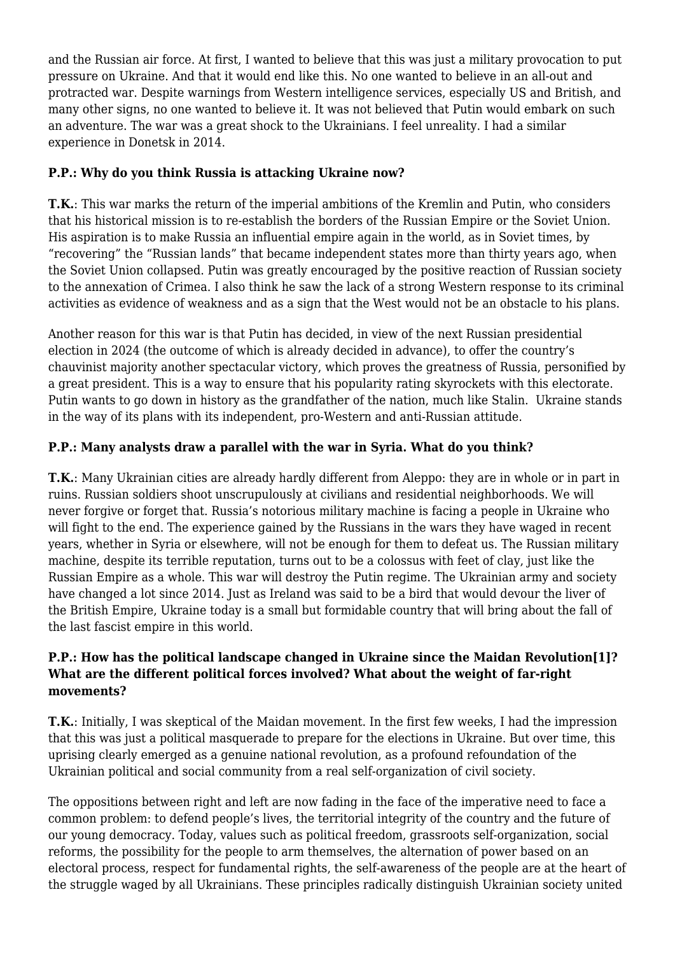and the Russian air force. At first, I wanted to believe that this was just a military provocation to put pressure on Ukraine. And that it would end like this. No one wanted to believe in an all-out and protracted war. Despite warnings from Western intelligence services, especially US and British, and many other signs, no one wanted to believe it. It was not believed that Putin would embark on such an adventure. The war was a great shock to the Ukrainians. I feel unreality. I had a similar experience in Donetsk in 2014.

# **P.P.: Why do you think Russia is attacking Ukraine now?**

**T.K.**: This war marks the return of the imperial ambitions of the Kremlin and Putin, who considers that his historical mission is to re-establish the borders of the Russian Empire or the Soviet Union. His aspiration is to make Russia an influential empire again in the world, as in Soviet times, by "recovering" the "Russian lands" that became independent states more than thirty years ago, when the Soviet Union collapsed. Putin was greatly encouraged by the positive reaction of Russian society to the annexation of Crimea. I also think he saw the lack of a strong Western response to its criminal activities as evidence of weakness and as a sign that the West would not be an obstacle to his plans.

Another reason for this war is that Putin has decided, in view of the next Russian presidential election in 2024 (the outcome of which is already decided in advance), to offer the country's chauvinist majority another spectacular victory, which proves the greatness of Russia, personified by a great president. This is a way to ensure that his popularity rating skyrockets with this electorate. Putin wants to go down in history as the grandfather of the nation, much like Stalin. Ukraine stands in the way of its plans with its independent, pro-Western and anti-Russian attitude.

# **P.P.: Many analysts draw a parallel with the war in Syria. What do you think?**

**T.K.**: Many Ukrainian cities are already hardly different from Aleppo: they are in whole or in part in ruins. Russian soldiers shoot unscrupulously at civilians and residential neighborhoods. We will never forgive or forget that. Russia's notorious military machine is facing a people in Ukraine who will fight to the end. The experience gained by the Russians in the wars they have waged in recent years, whether in Syria or elsewhere, will not be enough for them to defeat us. The Russian military machine, despite its terrible reputation, turns out to be a colossus with feet of clay, just like the Russian Empire as a whole. This war will destroy the Putin regime. The Ukrainian army and society have changed a lot since 2014. Just as Ireland was said to be a bird that would devour the liver of the British Empire, Ukraine today is a small but formidable country that will bring about the fall of the last fascist empire in this world.

# **P.P.: How has the political landscape changed in Ukraine since the Maidan Revolution[\[1\]](https://mouvements.info/leruption-de-la-russie-en-ukraine/#_ftn1)? What are the different political forces involved? What about the weight of far-right movements?**

**T.K.**: Initially, I was skeptical of the Maidan movement. In the first few weeks, I had the impression that this was just a political masquerade to prepare for the elections in Ukraine. But over time, this uprising clearly emerged as a genuine national revolution, as a profound refoundation of the Ukrainian political and social community from a real self-organization of civil society.

The oppositions between right and left are now fading in the face of the imperative need to face a common problem: to defend people's lives, the territorial integrity of the country and the future of our young democracy. Today, values such as political freedom, grassroots self-organization, social reforms, the possibility for the people to arm themselves, the alternation of power based on an electoral process, respect for fundamental rights, the self-awareness of the people are at the heart of the struggle waged by all Ukrainians. These principles radically distinguish Ukrainian society united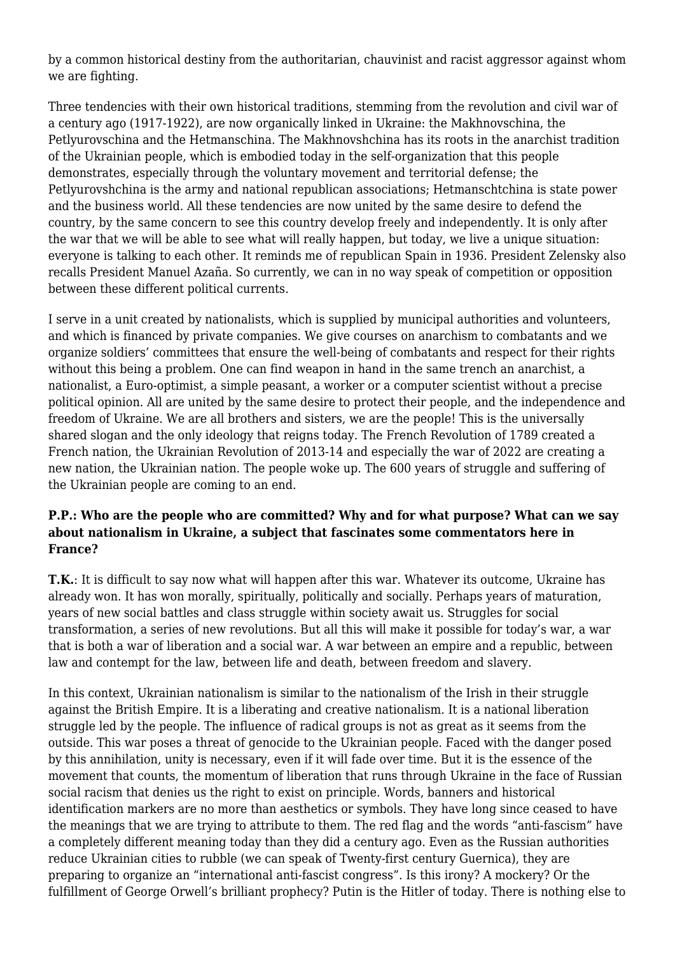by a common historical destiny from the authoritarian, chauvinist and racist aggressor against whom we are fighting.

Three tendencies with their own historical traditions, stemming from the revolution and civil war of a century ago (1917-1922), are now organically linked in Ukraine: the Makhnovschina, the Petlyurovschina and the Hetmanschina. The Makhnovshchina has its roots in the anarchist tradition of the Ukrainian people, which is embodied today in the self-organization that this people demonstrates, especially through the voluntary movement and territorial defense; the Petlyurovshchina is the army and national republican associations; Hetmanschtchina is state power and the business world. All these tendencies are now united by the same desire to defend the country, by the same concern to see this country develop freely and independently. It is only after the war that we will be able to see what will really happen, but today, we live a unique situation: everyone is talking to each other. It reminds me of republican Spain in 1936. President Zelensky also recalls President Manuel Azaña. So currently, we can in no way speak of competition or opposition between these different political currents.

I serve in a unit created by nationalists, which is supplied by municipal authorities and volunteers, and which is financed by private companies. We give courses on anarchism to combatants and we organize soldiers' committees that ensure the well-being of combatants and respect for their rights without this being a problem. One can find weapon in hand in the same trench an anarchist, a nationalist, a Euro-optimist, a simple peasant, a worker or a computer scientist without a precise political opinion. All are united by the same desire to protect their people, and the independence and freedom of Ukraine. We are all brothers and sisters, we are the people! This is the universally shared slogan and the only ideology that reigns today. The French Revolution of 1789 created a French nation, the Ukrainian Revolution of 2013-14 and especially the war of 2022 are creating a new nation, the Ukrainian nation. The people woke up. The 600 years of struggle and suffering of the Ukrainian people are coming to an end.

#### **P.P.: Who are the people who are committed? Why and for what purpose? What can we say about nationalism in Ukraine, a subject that fascinates some commentators here in France?**

**T.K.**: It is difficult to say now what will happen after this war. Whatever its outcome, Ukraine has already won. It has won morally, spiritually, politically and socially. Perhaps years of maturation, years of new social battles and class struggle within society await us. Struggles for social transformation, a series of new revolutions. But all this will make it possible for today's war, a war that is both a war of liberation and a social war. A war between an empire and a republic, between law and contempt for the law, between life and death, between freedom and slavery.

In this context, Ukrainian nationalism is similar to the nationalism of the Irish in their struggle against the British Empire. It is a liberating and creative nationalism. It is a national liberation struggle led by the people. The influence of radical groups is not as great as it seems from the outside. This war poses a threat of genocide to the Ukrainian people. Faced with the danger posed by this annihilation, unity is necessary, even if it will fade over time. But it is the essence of the movement that counts, the momentum of liberation that runs through Ukraine in the face of Russian social racism that denies us the right to exist on principle. Words, banners and historical identification markers are no more than aesthetics or symbols. They have long since ceased to have the meanings that we are trying to attribute to them. The red flag and the words "anti-fascism" have a completely different meaning today than they did a century ago. Even as the Russian authorities reduce Ukrainian cities to rubble (we can speak of Twenty-first century Guernica), they are preparing to organize an "international anti-fascist congress". Is this irony? A mockery? Or the fulfillment of George Orwell's brilliant prophecy? Putin is the Hitler of today. There is nothing else to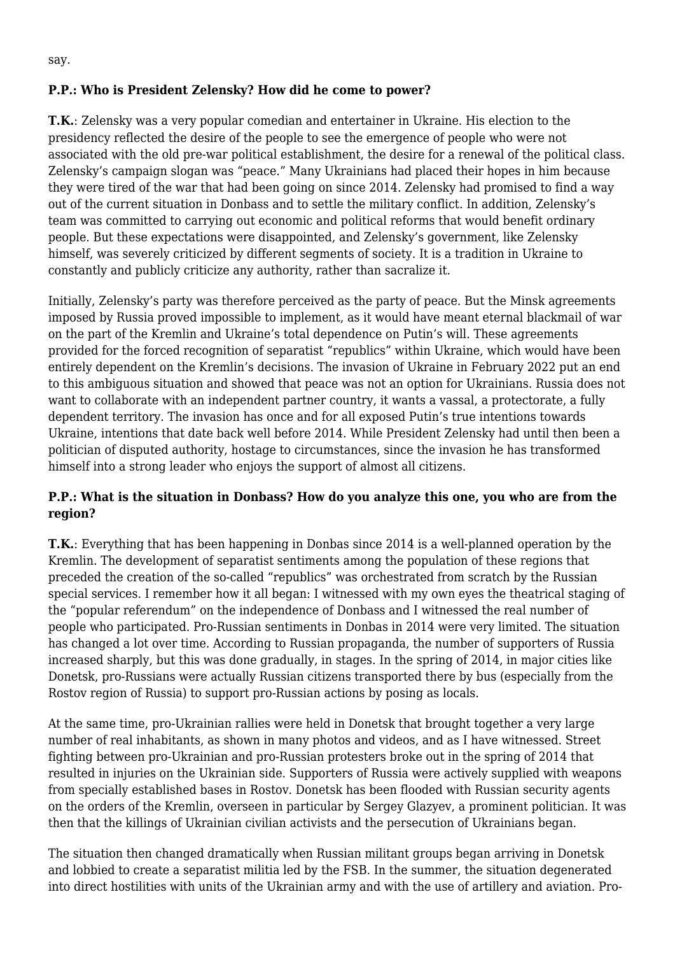# **P.P.: Who is President Zelensky? How did he come to power?**

**T.K.**: Zelensky was a very popular comedian and entertainer in Ukraine. His election to the presidency reflected the desire of the people to see the emergence of people who were not associated with the old pre-war political establishment, the desire for a renewal of the political class. Zelensky's campaign slogan was "peace." Many Ukrainians had placed their hopes in him because they were tired of the war that had been going on since 2014. Zelensky had promised to find a way out of the current situation in Donbass and to settle the military conflict. In addition, Zelensky's team was committed to carrying out economic and political reforms that would benefit ordinary people. But these expectations were disappointed, and Zelensky's government, like Zelensky himself, was severely criticized by different segments of society. It is a tradition in Ukraine to constantly and publicly criticize any authority, rather than sacralize it.

Initially, Zelensky's party was therefore perceived as the party of peace. But the Minsk agreements imposed by Russia proved impossible to implement, as it would have meant eternal blackmail of war on the part of the Kremlin and Ukraine's total dependence on Putin's will. These agreements provided for the forced recognition of separatist "republics" within Ukraine, which would have been entirely dependent on the Kremlin's decisions. The invasion of Ukraine in February 2022 put an end to this ambiguous situation and showed that peace was not an option for Ukrainians. Russia does not want to collaborate with an independent partner country, it wants a vassal, a protectorate, a fully dependent territory. The invasion has once and for all exposed Putin's true intentions towards Ukraine, intentions that date back well before 2014. While President Zelensky had until then been a politician of disputed authority, hostage to circumstances, since the invasion he has transformed himself into a strong leader who enjoys the support of almost all citizens.

# **P.P.: What is the situation in Donbass? How do you analyze this one, you who are from the region?**

**T.K.**: Everything that has been happening in Donbas since 2014 is a well-planned operation by the Kremlin. The development of separatist sentiments among the population of these regions that preceded the creation of the so-called "republics" was orchestrated from scratch by the Russian special services. I remember how it all began: I witnessed with my own eyes the theatrical staging of the "popular referendum" on the independence of Donbass and I witnessed the real number of people who participated. Pro-Russian sentiments in Donbas in 2014 were very limited. The situation has changed a lot over time. According to Russian propaganda, the number of supporters of Russia increased sharply, but this was done gradually, in stages. In the spring of 2014, in major cities like Donetsk, pro-Russians were actually Russian citizens transported there by bus (especially from the Rostov region of Russia) to support pro-Russian actions by posing as locals.

At the same time, pro-Ukrainian rallies were held in Donetsk that brought together a very large number of real inhabitants, as shown in many photos and videos, and as I have witnessed. Street fighting between pro-Ukrainian and pro-Russian protesters broke out in the spring of 2014 that resulted in injuries on the Ukrainian side. Supporters of Russia were actively supplied with weapons from specially established bases in Rostov. Donetsk has been flooded with Russian security agents on the orders of the Kremlin, overseen in particular by Sergey Glazyev, a prominent politician. It was then that the killings of Ukrainian civilian activists and the persecution of Ukrainians began.

The situation then changed dramatically when Russian militant groups began arriving in Donetsk and lobbied to create a separatist militia led by the FSB. In the summer, the situation degenerated into direct hostilities with units of the Ukrainian army and with the use of artillery and aviation. Pro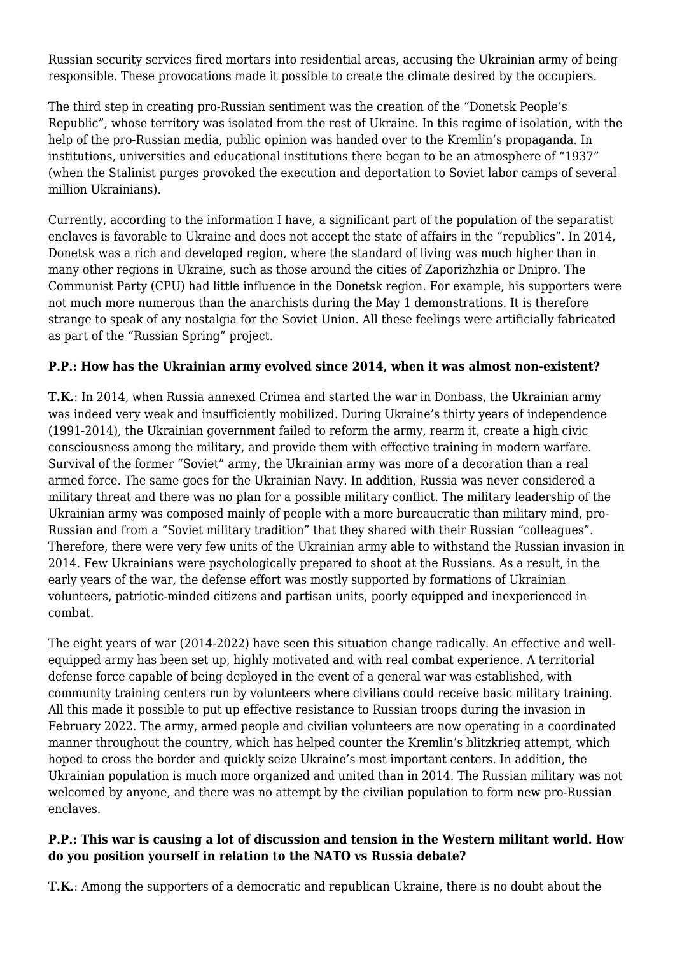Russian security services fired mortars into residential areas, accusing the Ukrainian army of being responsible. These provocations made it possible to create the climate desired by the occupiers.

The third step in creating pro-Russian sentiment was the creation of the "Donetsk People's Republic", whose territory was isolated from the rest of Ukraine. In this regime of isolation, with the help of the pro-Russian media, public opinion was handed over to the Kremlin's propaganda. In institutions, universities and educational institutions there began to be an atmosphere of "1937" (when the Stalinist purges provoked the execution and deportation to Soviet labor camps of several million Ukrainians).

Currently, according to the information I have, a significant part of the population of the separatist enclaves is favorable to Ukraine and does not accept the state of affairs in the "republics". In 2014, Donetsk was a rich and developed region, where the standard of living was much higher than in many other regions in Ukraine, such as those around the cities of Zaporizhzhia or Dnipro. The Communist Party (CPU) had little influence in the Donetsk region. For example, his supporters were not much more numerous than the anarchists during the May 1 demonstrations. It is therefore strange to speak of any nostalgia for the Soviet Union. All these feelings were artificially fabricated as part of the "Russian Spring" project.

# **P.P.: How has the Ukrainian army evolved since 2014, when it was almost non-existent?**

**T.K.**: In 2014, when Russia annexed Crimea and started the war in Donbass, the Ukrainian army was indeed very weak and insufficiently mobilized. During Ukraine's thirty years of independence (1991-2014), the Ukrainian government failed to reform the army, rearm it, create a high civic consciousness among the military, and provide them with effective training in modern warfare. Survival of the former "Soviet" army, the Ukrainian army was more of a decoration than a real armed force. The same goes for the Ukrainian Navy. In addition, Russia was never considered a military threat and there was no plan for a possible military conflict. The military leadership of the Ukrainian army was composed mainly of people with a more bureaucratic than military mind, pro-Russian and from a "Soviet military tradition" that they shared with their Russian "colleagues". Therefore, there were very few units of the Ukrainian army able to withstand the Russian invasion in 2014. Few Ukrainians were psychologically prepared to shoot at the Russians. As a result, in the early years of the war, the defense effort was mostly supported by formations of Ukrainian volunteers, patriotic-minded citizens and partisan units, poorly equipped and inexperienced in combat.

The eight years of war (2014-2022) have seen this situation change radically. An effective and wellequipped army has been set up, highly motivated and with real combat experience. A territorial defense force capable of being deployed in the event of a general war was established, with community training centers run by volunteers where civilians could receive basic military training. All this made it possible to put up effective resistance to Russian troops during the invasion in February 2022. The army, armed people and civilian volunteers are now operating in a coordinated manner throughout the country, which has helped counter the Kremlin's blitzkrieg attempt, which hoped to cross the border and quickly seize Ukraine's most important centers. In addition, the Ukrainian population is much more organized and united than in 2014. The Russian military was not welcomed by anyone, and there was no attempt by the civilian population to form new pro-Russian enclaves.

# **P.P.: This war is causing a lot of discussion and tension in the Western militant world. How do you position yourself in relation to the NATO vs Russia debate?**

**T.K.**: Among the supporters of a democratic and republican Ukraine, there is no doubt about the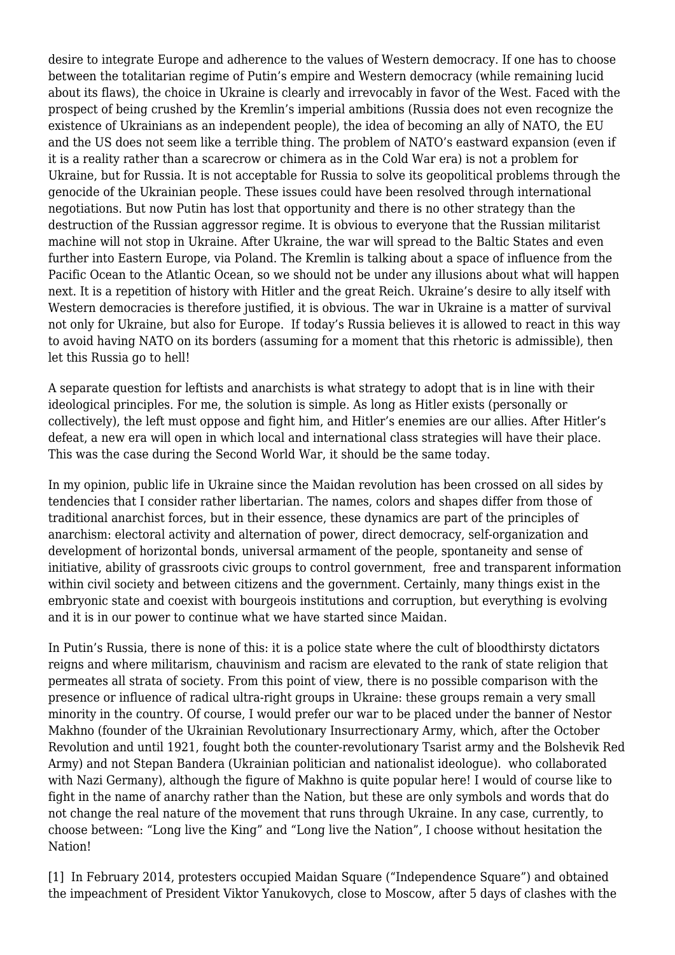desire to integrate Europe and adherence to the values of Western democracy. If one has to choose between the totalitarian regime of Putin's empire and Western democracy (while remaining lucid about its flaws), the choice in Ukraine is clearly and irrevocably in favor of the West. Faced with the prospect of being crushed by the Kremlin's imperial ambitions (Russia does not even recognize the existence of Ukrainians as an independent people), the idea of becoming an ally of NATO, the EU and the US does not seem like a terrible thing. The problem of NATO's eastward expansion (even if it is a reality rather than a scarecrow or chimera as in the Cold War era) is not a problem for Ukraine, but for Russia. It is not acceptable for Russia to solve its geopolitical problems through the genocide of the Ukrainian people. These issues could have been resolved through international negotiations. But now Putin has lost that opportunity and there is no other strategy than the destruction of the Russian aggressor regime. It is obvious to everyone that the Russian militarist machine will not stop in Ukraine. After Ukraine, the war will spread to the Baltic States and even further into Eastern Europe, via Poland. The Kremlin is talking about a space of influence from the Pacific Ocean to the Atlantic Ocean, so we should not be under any illusions about what will happen next. It is a repetition of history with Hitler and the great Reich. Ukraine's desire to ally itself with Western democracies is therefore justified, it is obvious. The war in Ukraine is a matter of survival not only for Ukraine, but also for Europe. If today's Russia believes it is allowed to react in this way to avoid having NATO on its borders (assuming for a moment that this rhetoric is admissible), then let this Russia go to hell!

A separate question for leftists and anarchists is what strategy to adopt that is in line with their ideological principles. For me, the solution is simple. As long as Hitler exists (personally or collectively), the left must oppose and fight him, and Hitler's enemies are our allies. After Hitler's defeat, a new era will open in which local and international class strategies will have their place. This was the case during the Second World War, it should be the same today.

In my opinion, public life in Ukraine since the Maidan revolution has been crossed on all sides by tendencies that I consider rather libertarian. The names, colors and shapes differ from those of traditional anarchist forces, but in their essence, these dynamics are part of the principles of anarchism: electoral activity and alternation of power, direct democracy, self-organization and development of horizontal bonds, universal armament of the people, spontaneity and sense of initiative, ability of grassroots civic groups to control government, free and transparent information within civil society and between citizens and the government. Certainly, many things exist in the embryonic state and coexist with bourgeois institutions and corruption, but everything is evolving and it is in our power to continue what we have started since Maidan.

In Putin's Russia, there is none of this: it is a police state where the cult of bloodthirsty dictators reigns and where militarism, chauvinism and racism are elevated to the rank of state religion that permeates all strata of society. From this point of view, there is no possible comparison with the presence or influence of radical ultra-right groups in Ukraine: these groups remain a very small minority in the country. Of course, I would prefer our war to be placed under the banner of Nestor Makhno (founder of the Ukrainian Revolutionary Insurrectionary Army, which, after the October Revolution and until 1921, fought both the counter-revolutionary Tsarist army and the Bolshevik Red Army) and not Stepan Bandera (Ukrainian politician and nationalist ideologue). who collaborated with Nazi Germany), although the figure of Makhno is quite popular here! I would of course like to fight in the name of anarchy rather than the Nation, but these are only symbols and words that do not change the real nature of the movement that runs through Ukraine. In any case, currently, to choose between: "Long live the King" and "Long live the Nation", I choose without hesitation the Nation!

[\[1\]](https://mouvements.info/leruption-de-la-russie-en-ukraine/#_ftnref1) In February 2014, protesters occupied Maidan Square ("Independence Square") and obtained the impeachment of President Viktor Yanukovych, close to Moscow, after 5 days of clashes with the